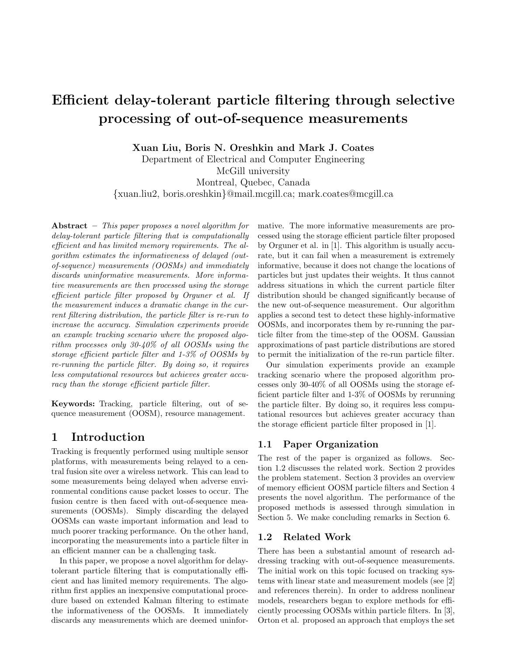# **Efficient delay-tolerant particle filtering through selective processing of out-of-sequence measurements**

**Xuan Liu, Boris N. Oreshkin and Mark J. Coates**

Department of Electrical and Computer Engineering McGill university Montreal, Quebec, Canada {xuan.liu2, boris.oreshkin}@mail.mcgill.ca; mark.coates@mcgill.ca

**Abstract –** *This paper proposes a novel algorithm for delay-tolerant particle filtering that is computationally efficient and has limited memory requirements. The algorithm estimates the informativeness of delayed (outof-sequence) measurements (OOSMs) and immediately discards uninformative measurements. More informative measurements are then processed using the storage efficient particle filter proposed by Orguner et al. If the measurement induces a dramatic change in the current filtering distribution, the particle filter is re-run to increase the accuracy. Simulation experiments provide an example tracking scenario where the proposed algorithm processes only 30-40% of all OOSMs using the storage efficient particle filter and 1-3% of OOSMs by re-running the particle filter. By doing so, it requires less computational resources but achieves greater accuracy than the storage efficient particle filter.*

**Keywords:** Tracking, particle filtering, out of sequence measurement (OOSM), resource management.

# **1 Introduction**

Tracking is frequently performed using multiple sensor platforms, with measurements being relayed to a central fusion site over a wireless network. This can lead to some measurements being delayed when adverse environmental conditions cause packet losses to occur. The fusion centre is then faced with out-of-sequence measurements (OOSMs). Simply discarding the delayed OOSMs can waste important information and lead to much poorer tracking performance. On the other hand, incorporating the measurements into a particle filter in an efficient manner can be a challenging task.

In this paper, we propose a novel algorithm for delaytolerant particle filtering that is computationally efficient and has limited memory requirements. The algorithm first applies an inexpensive computational procedure based on extended Kalman filtering to estimate the informativeness of the OOSMs. It immediately discards any measurements which are deemed uninformative. The more informative measurements are processed using the storage efficient particle filter proposed by Orguner et al. in [1]. This algorithm is usually accurate, but it can fail when a measurement is extremely informative, because it does not change the locations of particles but just updates their weights. It thus cannot address situations in which the current particle filter distribution should be changed significantly because of the new out-of-sequence measurement. Our algorithm applies a second test to detect these highly-informative OOSMs, and incorporates them by re-running the particle filter from the time-step of the OOSM. Gaussian approximations of past particle distributions are stored to permit the initialization of the re-run particle filter.

Our simulation experiments provide an example tracking scenario where the proposed algorithm processes only 30-40% of all OOSMs using the storage efficient particle filter and 1-3% of OOSMs by rerunning the particle filter. By doing so, it requires less computational resources but achieves greater accuracy than the storage efficient particle filter proposed in [1].

### **1.1 Paper Organization**

The rest of the paper is organized as follows. Section 1.2 discusses the related work. Section 2 provides the problem statement. Section 3 provides an overview of memory efficient OOSM particle filters and Section 4 presents the novel algorithm. The performance of the proposed methods is assessed through simulation in Section 5. We make concluding remarks in Section 6.

#### **1.2 Related Work**

There has been a substantial amount of research addressing tracking with out-of-sequence measurements. The initial work on this topic focused on tracking systems with linear state and measurement models (see [2] and references therein). In order to address nonlinear models, researchers began to explore methods for efficiently processing OOSMs within particle filters. In [3], Orton et al. proposed an approach that employs the set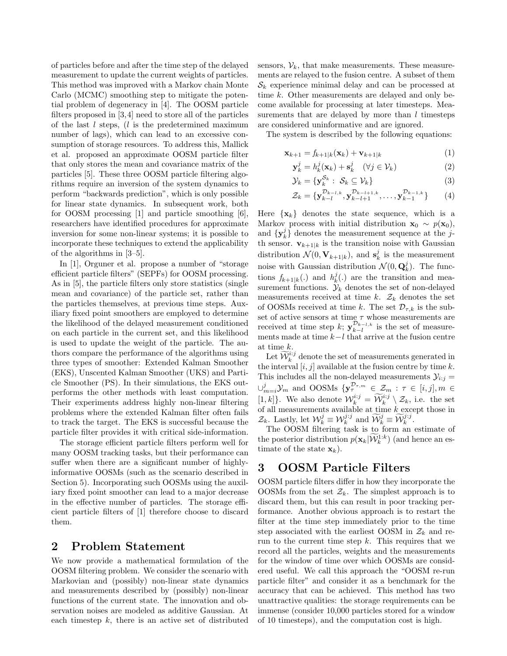of particles before and after the time step of the delayed measurement to update the current weights of particles. This method was improved with a Markov chain Monte Carlo (MCMC) smoothing step to mitigate the potential problem of degeneracy in [4]. The OOSM particle filters proposed in [3,4] need to store all of the particles of the last *l* steps, (*l* is the predetermined maximum number of lags), which can lead to an excessive consumption of storage resources. To address this, Mallick et al. proposed an approximate OOSM particle filter that only stores the mean and covariance matrix of the particles [5]. These three OOSM particle filtering algorithms require an inversion of the system dynamics to perform "backwards prediction", which is only possible for linear state dynamics. In subsequent work, both for OOSM processing [1] and particle smoothing [6], researchers have identified procedures for approximate inversion for some non-linear systems; it is possible to incorporate these techniques to extend the applicability of the algorithms in [3–5].

In [1], Orguner et al. propose a number of "storage efficient particle filters" (SEPFs) for OOSM processing. As in [5], the particle filters only store statistics (single mean and covariance) of the particle set, rather than the particles themselves, at previous time steps. Auxiliary fixed point smoothers are employed to determine the likelihood of the delayed measurement conditioned on each particle in the current set, and this likelihood is used to update the weight of the particle. The authors compare the performance of the algorithms using three types of smoother: Extended Kalman Smoother (EKS), Unscented Kalman Smoother (UKS) and Particle Smoother (PS). In their simulations, the EKS outperforms the other methods with least computation. Their experiments address highly non-linear filtering problems where the extended Kalman filter often fails to track the target. The EKS is successful because the particle filter provides it with critical side-information.

The storage efficient particle filters perform well for many OOSM tracking tasks, but their performance can suffer when there are a significant number of highlyinformative OOSMs (such as the scenario described in Section 5). Incorporating such OOSMs using the auxiliary fixed point smoother can lead to a major decrease in the effective number of particles. The storage efficient particle filters of [1] therefore choose to discard them.

# **2 Problem Statement**

We now provide a mathematical formulation of the OOSM filtering problem. We consider the scenario with Markovian and (possibly) non-linear state dynamics and measurements described by (possibly) non-linear functions of the current state. The innovation and observation noises are modeled as additive Gaussian. At each timestep *k*, there is an active set of distributed sensors,  $V_k$ , that make measurements. These measurements are relayed to the fusion centre. A subset of them  $\mathcal{S}_k$  experience minimal delay and can be processed at time *k*. Other measurements are delayed and only become available for processing at later timesteps. Measurements that are delayed by more than *l* timesteps are considered uninformative and are ignored.

The system is described by the following equations:

$$
\mathbf{x}_{k+1} = f_{k+1|k}(\mathbf{x}_k) + \mathbf{v}_{k+1|k} \tag{1}
$$

$$
\mathbf{y}_k^j = h_k^j(\mathbf{x}_k) + \mathbf{s}_k^j \quad (\forall j \in \mathcal{V}_k)
$$
 (2)

$$
\mathcal{Y}_k = \{ \mathbf{y}_k^{\mathcal{S}_k} : \ \mathcal{S}_k \subseteq \mathcal{V}_k \} \tag{3}
$$

$$
\mathcal{Z}_k = \{ \mathbf{y}_{k-l}^{\mathcal{D}_{k-l,k}}, \mathbf{y}_{k-l+1}^{\mathcal{D}_{k-l+1,k}}, \dots, \mathbf{y}_{k-1}^{\mathcal{D}_{k-1,k}} \} \qquad (4)
$$

Here  $\{x_k\}$  denotes the state sequence, which is a Markov process with initial distribution  $\mathbf{x}_0 \sim p(\mathbf{x}_0)$ , and  $\{y_k^j\}$  denotes the measurement sequence at the *j*th sensor.  $\mathbf{v}_{k+1|k}$  is the transition noise with Gaussian distribution  $\mathcal{N}(0, \mathbf{V}_{k+1|k})$ , and  $\mathbf{s}_k^j$  is the measurement noise with Gaussian distribution  $\mathcal{N}(0, \mathbf{Q}_k^j)$ . The functions  $f_{k+1|k}(.)$  and  $h_k^j(.)$  are the transition and measurement functions.  $\mathcal{Y}_k$  denotes the set of non-delayed measurements received at time  $k$ .  $\mathcal{Z}_k$  denotes the set of OOSMs received at time *k*. The set  $\mathcal{D}_{\tau,k}$  is the subset of active sensors at time *τ* whose measurements are received at time step *k*;  $\mathbf{y}_{k-l}^{\mathcal{D}_{k-l,k}}$  is the set of measurements made at time *k*−*l* that arrive at the fusion centre at time *k*.

Let  $\widetilde{\mathcal{W}}_k^{i,j}$  denote the set of measurements generated in the interval  $[i, j]$  available at the fusion centre by time  $k$ . This includes all the non-delayed measurements  $\mathcal{Y}_{i:j} =$  $\cup_{m=i}^{j} \mathcal{Y}_m$  and OOSMs  $\{ \mathbf{y}_{\tau,m}^{\mathcal{D}_{\tau,m}} \in \mathcal{Z}_m : \tau \in [i,j], m \in \mathcal{Y}_m\}$ [1, k]. We also denote  $\mathcal{W}_k^{i:j} = \widetilde{\mathcal{W}}_k^{i:j} \setminus \mathcal{Z}_k$ , i.e. the set of all measurements available at time *k* except those in  $\mathcal{Z}_k$ . Lastly, let  $\mathcal{W}_k^j \equiv \mathcal{W}_k^{j \cdot j}$  and  $\widetilde{\mathcal{W}}_k^j \equiv \widetilde{\mathcal{W}}_k^{j \cdot j}$ .

The OOSM filtering task is to form an estimate of the posterior distribution  $p(\mathbf{x}_k | \widetilde{W}_k^{1:k})$  (and hence an estimate of the state  $\mathbf{x}_k$ ).

# **3 OOSM Particle Filters**

OOSM particle filters differ in how they incorporate the OOSMs from the set  $\mathcal{Z}_k$ . The simplest approach is to discard them, but this can result in poor tracking performance. Another obvious approach is to restart the filter at the time step immediately prior to the time step associated with the earliest OOSM in  $\mathcal{Z}_k$  and rerun to the current time step *k*. This requires that we record all the particles, weights and the measurements for the window of time over which OOSMs are considered useful. We call this approach the "OOSM re-run particle filter" and consider it as a benchmark for the accuracy that can be achieved. This method has two unattractive qualities: the storage requirements can be immense (consider 10,000 particles stored for a window of 10 timesteps), and the computation cost is high.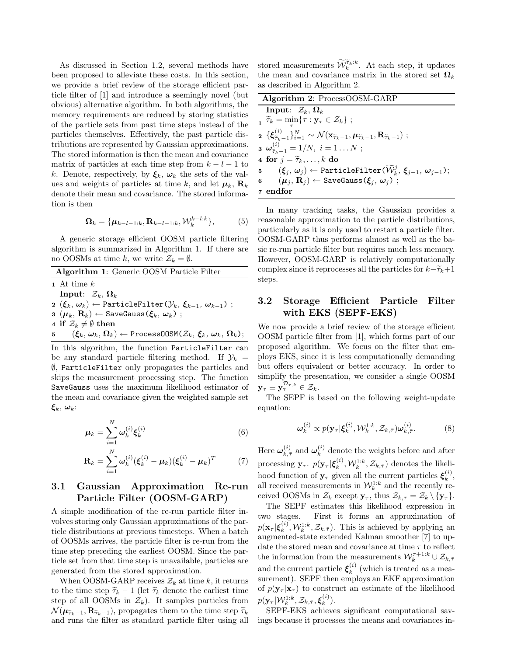As discussed in Section 1.2, several methods have been proposed to alleviate these costs. In this section, we provide a brief review of the storage efficient particle filter of [1] and introduce a seemingly novel (but obvious) alternative algorithm. In both algorithms, the memory requirements are reduced by storing statistics of the particle sets from past time steps instead of the particles themselves. Effectively, the past particle distributions are represented by Gaussian approximations. The stored information is then the mean and covariance matrix of particles at each time step from  $k - l - 1$  to *k*. Denote, respectively, by  $\xi_k$ ,  $\omega_k$  the sets of the values and weights of particles at time *k*, and let  $\mu_k$ ,  $\mathbf{R}_k$ denote their mean and covariance. The stored information is then

$$
\mathbf{\Omega}_k = {\boldsymbol{\mu}_{k-l-1:k}, \mathbf{R}_{k-l-1:k}, \mathcal{W}_k^{k-l:k}},\tag{5}
$$

A generic storage efficient OOSM particle filtering algorithm is summarized in Algorithm 1. If there are no OOSMs at time *k*, we write  $\mathcal{Z}_k = \emptyset$ .

| Algorithm 1: Generic OOSM Particle Filter |                                                                                                                                                                                     |
|-------------------------------------------|-------------------------------------------------------------------------------------------------------------------------------------------------------------------------------------|
|                                           | 1 At time $k$                                                                                                                                                                       |
|                                           | Input: $\mathcal{Z}_k, \Omega_k$                                                                                                                                                    |
|                                           | $\mathbf{2}$ $(\boldsymbol{\xi}_k, \boldsymbol{\omega}_k) \leftarrow$ ParticleFilter $(\mathcal{Y}_k, \boldsymbol{\xi}_{k-1}, \boldsymbol{\omega}_{k-1})$ ;                         |
|                                           | $\mathbf{a}$ $(\mu_k, \mathbf{R}_k) \leftarrow$ SaveGauss $(\boldsymbol{\xi}_k, \boldsymbol{\omega}_k)$ ;                                                                           |
|                                           | 4 if $\mathcal{Z}_k \neq \emptyset$ then                                                                                                                                            |
|                                           | 5 $(\boldsymbol{\xi}_k, \boldsymbol{\omega}_k, \boldsymbol{\Omega}_k) \leftarrow$ Process00SM $(\mathcal{Z}_k, \boldsymbol{\xi}_k, \boldsymbol{\omega}_k, \boldsymbol{\Omega}_k)$ ; |

In this algorithm, the function ParticleFilter can be any standard particle filtering method. If  $\mathcal{Y}_k =$  $\emptyset$ , ParticleFilter only propagates the particles and skips the measurement processing step. The function SaveGauss uses the maximum likelihood estimator of the mean and covariance given the weighted sample set *ξk*, *ωk*:

$$
\mu_k = \sum_{i=1}^N \omega_k^{(i)} \xi_k^{(i)}
$$
(6)

$$
\mathbf{R}_{k} = \sum_{i=1}^{N} \boldsymbol{\omega}_{k}^{(i)} (\boldsymbol{\xi}_{k}^{(i)} - \boldsymbol{\mu}_{k}) (\boldsymbol{\xi}_{k}^{(i)} - \boldsymbol{\mu}_{k})^{T} \qquad (7)
$$

## **3.1 Gaussian Approximation Re-run Particle Filter (OOSM-GARP)**

A simple modification of the re-run particle filter involves storing only Gaussian approximations of the particle distributions at previous timesteps. When a batch of OOSMs arrives, the particle filter is re-run from the time step preceding the earliest OOSM. Since the particle set from that time step is unavailable, particles are generated from the stored approximation.

When OOSM-GARP receives  $\mathcal{Z}_k$  at time k, it returns to the time step  $\tilde{\tau}_k - 1$  (let  $\tilde{\tau}_k$  denote the earliest time step of all OOSMs in  $\mathcal{Z}_k$ ). It samples particles from  $\mathcal{N}(\boldsymbol{\mu}_{\tilde{\tau}_k-1}, \mathbf{R}_{\tilde{\tau}_k-1})$ , propagates them to the time step  $\tilde{\tau}_k$ and runs the filter as standard particle filter using all

stored measurements  $\widetilde{\mathcal{W}}_k^{\widetilde{\tau}_k:k}$ . At each step, it updates the mean and covariance matrix in the stored set  $\Omega_k$ as described in Algorithm 2.

| <b>Algorithm 2:</b> ProcessOOSM-GARP |                                                                                                                                                                                                    |  |
|--------------------------------------|----------------------------------------------------------------------------------------------------------------------------------------------------------------------------------------------------|--|
|                                      | Input: $\mathcal{Z}_k, \Omega_k$                                                                                                                                                                   |  |
|                                      | $\widetilde{\tau}_k = \min\{\tau : \mathbf{y}_{\tau} \in \mathcal{Z}_k\};$                                                                                                                         |  |
|                                      | $\mathbf{2} \; \{ \pmb{\xi}_{\widetilde\tau_{k-1}}^{(i)} \}_{i=1}^N \sim \mathcal{N}(\mathbf{x}_{\widetilde\tau_{k}-1}, \pmb{\mu}_{\widetilde\tau_{k}-1}, \mathbf{R}_{\widetilde\tau_{k}-1}) \; ;$ |  |
|                                      | <b>3</b> $\omega_{\tilde{\tau}_k-1}^{(i)} = 1/N, i = 1N;$                                                                                                                                          |  |
|                                      | 4 for $j = \tilde{\tau}_k, \ldots, k$ do                                                                                                                                                           |  |
|                                      | 5 $(\boldsymbol{\xi}_j, \, \boldsymbol{\omega}_j) \leftarrow \texttt{ParticleFilter}(\widetilde{\mathcal{W}}_k^j, \, \boldsymbol{\xi}_{j-1}, \, \boldsymbol{\omega}_{j-1});$                       |  |
|                                      | 6 $(\mu_i, R_i) \leftarrow$ SaveGauss $(\xi_i, \omega_i)$ ;                                                                                                                                        |  |
|                                      | 7 endfor                                                                                                                                                                                           |  |

In many tracking tasks, the Gaussian provides a reasonable approximation to the particle distributions, particularly as it is only used to restart a particle filter. OOSM-GARP thus performs almost as well as the basic re-run particle filter but requires much less memory. However, OOSM-GARP is relatively computationally complex since it reprocesses all the particles for  $k-\tilde{\tau}_k+1$ steps.

### **3.2 Storage Efficient Particle Filter with EKS (SEPF-EKS)**

We now provide a brief review of the storage efficient OOSM particle filter from [1], which forms part of our proposed algorithm. We focus on the filter that employs EKS, since it is less computationally demanding but offers equivalent or better accuracy. In order to simplify the presentation, we consider a single OOSM  $\mathbf{y}_{\tau} \equiv \mathbf{y}_{\tau}^{D_{\tau,k}} \in \mathcal{Z}_k.$ 

The SEPF is based on the following weight-update equation:

$$
\boldsymbol{\omega}_k^{(i)} \propto p(\mathbf{y}_{\tau}|\boldsymbol{\xi}_k^{(i)}, \mathcal{W}_k^{1:k}, \mathcal{Z}_{k,\bar{\tau}})\boldsymbol{\omega}_{k,\bar{\tau}}^{(i)}.
$$
 (8)

Here  $\omega_{k,\bar{\tau}}^{(i)}$  and  $\omega_k^{(i)}$  denote the weights before and after processing  $\mathbf{y}_{\tau}$ .  $p(\mathbf{y}_{\tau} | \boldsymbol{\xi}_k^{(i)}, \mathcal{W}_k^{1:k}, \mathcal{Z}_{k,\bar{\tau}})$  denotes the likelihood function of  $y_\tau$  given all the current particles  $\xi_k^{(i)}$ , all received measurements in  $\mathcal{W}_k^{1:k}$  and the recently received OOSMs in  $\mathcal{Z}_k$  except  $\mathbf{y}_{\tau}$ , thus  $\mathcal{Z}_{k,\bar{\tau}} = \mathcal{Z}_k \setminus {\mathbf{y}_{\tau}}$ .

The SEPF estimates this likelihood expression in two stages. First it forms an approximation of  $p(\mathbf{x}_{\tau} | \boldsymbol{\xi}_k^{(i)}, \mathcal{W}_k^{1:k}, \mathcal{Z}_{k,\bar{\tau}})$ . This is achieved by applying an augmented-state extended Kalman smoother [7] to update the stored mean and covariance at time  $\tau$  to reflect the information from the measurements  $\mathcal{W}_k^{\tau+1:k} \cup \mathcal{Z}_{k,\bar{\tau}}$ and the current particle  $\xi_k^{(i)}$  (which is treated as a measurement). SEPF then employs an EKF approximation of  $p(\mathbf{y}_\tau | \mathbf{x}_\tau)$  to construct an estimate of the likelihood  $p(\mathbf{y}_{\tau} | \mathcal{W}_k^{1:k}, \mathcal{Z}_{k,\bar{\tau}}, \boldsymbol{\xi}_k^{(i)}).$ 

SEPF-EKS achieves significant computational savings because it processes the means and covariances in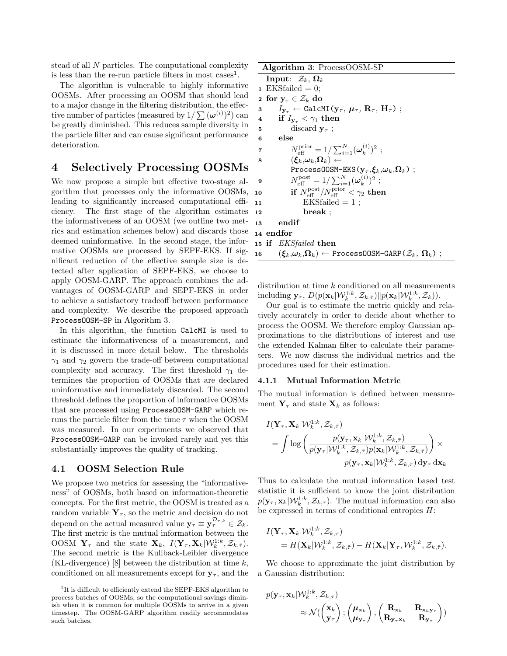stead of all *N* particles. The computational complexity is less than the re-run particle filters in most cases<sup>1</sup>.

The algorithm is vulnerable to highly informative OOSMs. After processing an OOSM that should lead to a major change in the filtering distribution, the effective number of particles (measured by  $1/\sum (\omega^{(i)})^2$ ) can be greatly diminished. This reduces sample diversity in the particle filter and can cause significant performance deterioration.

## **4 Selectively Processing OOSMs**

We now propose a simple but effective two-stage algorithm that processes only the informative OOSMs, leading to significantly increased computational efficiency. The first stage of the algorithm estimates the informativeness of an OOSM (we outline two metrics and estimation schemes below) and discards those deemed uninformative. In the second stage, the informative OOSMs are processed by SEPF-EKS. If significant reduction of the effective sample size is detected after application of SEPF-EKS, we choose to apply OOSM-GARP. The approach combines the advantages of OOSM-GARP and SEPF-EKS in order to achieve a satisfactory tradeoff between performance and complexity. We describe the proposed approach ProcessOOSM-SP in Algorithm 3.

In this algorithm, the function CalcMI is used to estimate the informativeness of a measurement, and it is discussed in more detail below. The thresholds *γ*<sup>1</sup> and *γ*<sup>2</sup> govern the trade-off between computational complexity and accuracy. The first threshold  $\gamma_1$  determines the proportion of OOSMs that are declared uninformative and immediately discarded. The second threshold defines the proportion of informative OOSMs that are processed using ProcessOOSM-GARP which reruns the particle filter from the time *τ* when the OOSM was measured. In our experiments we observed that ProcessOOSM-GARP can be invoked rarely and yet this substantially improves the quality of tracking.

#### **4.1 OOSM Selection Rule**

We propose two metrics for assessing the "informativeness" of OOSMs, both based on information-theoretic concepts. For the first metric, the OOSM is treated as a random variable  $Y_\tau$ , so the metric and decision do not depend on the actual measured value  $y_\tau \equiv y_\tau^{D_{\tau,k}} \in \mathcal{Z}_k$ . The first metric is the mutual information between the OOSM  $\mathbf{Y}_{\tau}$  and the state  $\mathbf{X}_{k}$ ,  $I(\mathbf{Y}_{\tau}, \mathbf{X}_{k} | \mathcal{W}_{k}^{1:k}, \mathcal{Z}_{k, \bar{\tau}})$ . The second metric is the Kullback-Leibler divergence (KL-divergence) [8] between the distribution at time *k*, conditioned on all measurements except for  $y_\tau$ , and the

```
Algorithm 3: ProcessOOSM-SP
      Input: \mathcal{Z}_k, \Omega_k1 EKSfailed = 0;
   2 for y_\tau \in \mathcal{Z}_k do
   3 I_{\mathbf{y}_{\tau}} \leftarrow \text{CalcMI}(\mathbf{y}_{\tau}, \mu_{\tau}, \mathbf{R}_{\tau}, \mathbf{H}_{\tau});
   4 if I_{\mathbf{y}_{\tau}} < \gamma_1 then
   5 discard yτ ;
   6 else
   7 N_{\text{eff}}^{\text{prior}} = 1 / \sum_{i=1}^{N} (\boldsymbol{\omega}_k^{(i)})^2 ;\mathbf{s} \qquad \quad (\boldsymbol{\xi}_k,\!\boldsymbol{\omega}_k,\!\boldsymbol{\Omega}_k) \leftarrowProcessOOSM-EKS(\mathbf{y}_{\tau},\xi_k,\omega_k,\Omega_k);
   9 N_{\text{eff}}^{\text{post}} = 1 / \sum_{i=1}^{N} (\omega_k^{(i)})^2 ;10 if N_{\text{eff}}^{\text{post}} / N_{\text{eff}}^{\text{prior}} < \gamma_2 then
11 EKSfailed = 1;
12 break ;
13 endif
14 endfor
 15 if EKSfailed then
 16 (\boldsymbol{\xi}_k, \boldsymbol{\omega}_k, \boldsymbol{\Omega}_k) \leftarrow Process00SM-GARP(\mathcal{Z}_k, \boldsymbol{\Omega}_k);
```
distribution at time *k* conditioned on all measurements  $\text{including } \mathbf{y}_{\tau}, D(p(\mathbf{x}_k | \mathcal{W}_k^{1:k}, \mathcal{Z}_{k,\bar{\tau}})||p(\mathbf{x}_k | \mathcal{W}_k^{1:k}, \mathcal{Z}_k)).$ 

Our goal is to estimate the metric quickly and relatively accurately in order to decide about whether to process the OOSM. We therefore employ Gaussian approximations to the distributions of interest and use the extended Kalman filter to calculate their parameters. We now discuss the individual metrics and the procedures used for their estimation.

#### **4.1.1 Mutual Information Metric**

The mutual information is defined between measurement  $Y_\tau$  and state  $X_k$  as follows:

$$
I(\mathbf{Y}_{\tau}, \mathbf{X}_{k} | \mathcal{W}_{k}^{1:k}, \mathcal{Z}_{k,\bar{\tau}})
$$
\n
$$
= \int \log \left( \frac{p(\mathbf{y}_{\tau}, \mathbf{x}_{k} | \mathcal{W}_{k}^{1:k}, \mathcal{Z}_{k,\bar{\tau}})}{p(\mathbf{y}_{\tau} | \mathcal{W}_{k}^{1:k}, \mathcal{Z}_{k,\bar{\tau}}) p(\mathbf{x}_{k} | \mathcal{W}_{k}^{1:k}, \mathcal{Z}_{k,\bar{\tau}})} \right) \times
$$
\n
$$
p(\mathbf{y}_{\tau}, \mathbf{x}_{k} | \mathcal{W}_{k}^{1:k}, \mathcal{Z}_{k,\bar{\tau}}) \, d\mathbf{y}_{\tau} \, d\mathbf{x}_{k}
$$

Thus to calculate the mutual information based test statistic it is sufficient to know the joint distribution  $p(\mathbf{y}_{\tau}, \mathbf{x}_k | \mathcal{W}_k^{1:k}, \mathcal{Z}_{k,\bar{\tau}})$ . The mutual information can also be expressed in terms of conditional entropies *H*:

$$
I(\mathbf{Y}_{\tau}, \mathbf{X}_{k} | \mathcal{W}_k^{1:k}, \mathcal{Z}_{k,\bar{\tau}})
$$
  
=  $H(\mathbf{X}_{k} | \mathcal{W}_k^{1:k}, \mathcal{Z}_{k,\bar{\tau}}) - H(\mathbf{X}_{k} | \mathbf{Y}_{\tau}, \mathcal{W}_k^{1:k}, \mathcal{Z}_{k,\bar{\tau}}).$ 

We choose to approximate the joint distribution by a Gaussian distribution:

$$
p(\mathbf{y}_{\tau}, \mathbf{x}_{k} | \mathcal{W}_{k}^{1:k}, \mathcal{Z}_{k, \bar{\tau}}) \n\approx \mathcal{N}(\begin{pmatrix} \mathbf{x}_{k} \\ \mathbf{y}_{\tau} \end{pmatrix}; \begin{pmatrix} \boldsymbol{\mu}_{\mathbf{x}_{k}} \\ \boldsymbol{\mu}_{\mathbf{y}_{\tau}} \end{pmatrix}, \begin{pmatrix} \mathbf{R}_{\mathbf{x}_{k}} & \mathbf{R}_{\mathbf{x}_{k} \mathbf{y}_{\tau}} \\ \mathbf{R}_{\mathbf{y}_{\tau} \mathbf{x}_{k}} & \mathbf{R}_{\mathbf{y}_{\tau}} \end{pmatrix})
$$

<sup>&</sup>lt;sup>1</sup>It is difficult to efficiently extend the SEPF-EKS algorithm to process batches of OOSMs, so the computational savings diminish when it is common for multiple OOSMs to arrive in a given timestep. The OOSM-GARP algorithm readily accommodates such batches.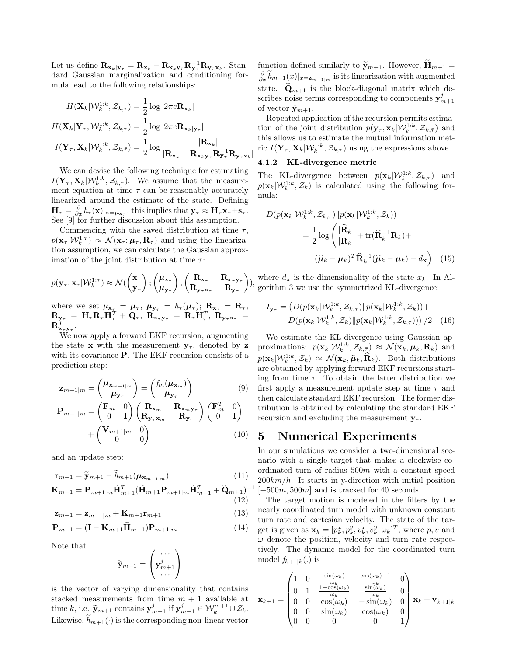Let us define  $\mathbf{R}_{\mathbf{x}_k|\mathbf{y}_\tau} = \mathbf{R}_{\mathbf{x}_k} - \mathbf{R}_{\mathbf{x}_k|\mathbf{y}_\tau} \mathbf{R}_{\mathbf{y}_\tau}^{-1} \mathbf{R}_{\mathbf{y}_\tau \mathbf{x}_k}$ . Standard Gaussian marginalization and conditioning formula lead to the following relationships:

$$
H(\mathbf{X}_k|\mathcal{W}_k^{1:k}, \mathcal{Z}_{k,\bar{\tau}}) = \frac{1}{2} \log |2\pi e \mathbf{R}_{\mathbf{x}_k}|
$$
  

$$
H(\mathbf{X}_k|\mathbf{Y}_{\tau}, \mathcal{W}_k^{1:k}, \mathcal{Z}_{k,\bar{\tau}}) = \frac{1}{2} \log |2\pi e \mathbf{R}_{\mathbf{x}_k|\mathbf{y}_{\tau}}|
$$
  

$$
I(\mathbf{Y}_{\tau}, \mathbf{X}_k|\mathcal{W}_k^{1:k}, \mathcal{Z}_{k,\bar{\tau}}) = \frac{1}{2} \log \frac{|\mathbf{R}_{\mathbf{x}_k}|}{|\mathbf{R}_{\mathbf{x}_k} - \mathbf{R}_{\mathbf{x}_k\mathbf{y}_{\tau}} \mathbf{R}_{\mathbf{y}_{\tau}}^{-1} \mathbf{R}_{\mathbf{y}_{\tau}\mathbf{x}_k}|}
$$

We can devise the following technique for estimating  $I(\mathbf{Y}_{\tau}, \mathbf{X}_k | \mathcal{W}_k^{1:k}, \mathcal{Z}_{k,\bar{\tau}})$ . We assume that the measurement equation at time  $\tau$  can be reasonably accurately linearized around the estimate of the state. Defining  $\mathbf{H}_{\tau} = \frac{\partial}{\partial x} h_{\tau}(\mathbf{x})|_{\mathbf{x}=\boldsymbol{\mu}_{\mathbf{x}_{\tau}}}$ , this implies that  $\mathbf{y}_{\tau} \approx \mathbf{H}_{\tau} \mathbf{x}_{\tau} + \mathbf{s}_{\tau}$ . See [9] for further discussion about this assumption.

Commencing with the saved distribution at time  $\tau$ ,  $p(\mathbf{x}_{\tau} | \mathcal{W}_k^{1:\tau}) \approx \mathcal{N}(\mathbf{x}_{\tau}; \boldsymbol{\mu}_{\tau}, \mathbf{R}_{\tau})$  and using the linearization assumption, we can calculate the Gaussian approximation of the joint distribution at time *τ* :

$$
p(\mathbf{y}_{\tau}, \mathbf{x}_{\tau} | \mathcal{W}_k^{1:\tau}) \approx \mathcal{N}(\begin{pmatrix} \mathbf{x}_{\tau} \\ \mathbf{y}_{\tau} \end{pmatrix}; \begin{pmatrix} \boldsymbol{\mu}_{\mathbf{x}_{\tau}} \\ \boldsymbol{\mu}_{\mathbf{y}_{\tau}} \end{pmatrix}, \begin{pmatrix} \mathbf{R}_{\mathbf{x}_{\tau}} & \mathbf{R}_{x_{\tau} \mathbf{y}_{\tau}} \\ \mathbf{R}_{\mathbf{y}_{\tau} \mathbf{x}_{\tau}} & \mathbf{R}_{\mathbf{y}_{\tau}} \end{pmatrix}
$$

where we set  $\mu_{\mathbf{x}_{\tau}} = \mu_{\tau}, \ \mu_{\mathbf{y}_{\tau}} = h_{\tau}(\mu_{\tau}); \ \mathbf{R}_{\mathbf{x}_{\tau}} = \mathbf{R}_{\tau},$  ${\bf R}_{{\bf y}_{\tau}} \ =\ {\bf H}_{\tau} {\bf R}_{\tau} {\bf H}_{\tau}^T \,+\,{\bf Q}_{\tau},\,\,{\bf R}_{{\bf x}_{\tau} {\bf y}_{\tau}} \ =\ {\bf R}_{\tau} {\bf H}_{\tau}^T,\,\,{\bf R}_{{\bf y}_{\tau} {\bf x}_{\tau}} \ =\$  $\mathbf{R}^T_{\mathbf{x}_\tau \mathbf{y}_\tau}.$ 

We now apply a forward EKF recursion, augmenting the state **x** with the measurement  $y_\tau$ , denoted by **z** with its covariance **P**. The EKF recursion consists of a prediction step:

$$
\mathbf{z}_{m+1|m} = \begin{pmatrix} \boldsymbol{\mu}_{\mathbf{x}_{m+1|m}} \\ \boldsymbol{\mu}_{\mathbf{y}_{\tau}} \end{pmatrix} = \begin{pmatrix} f_m(\boldsymbol{\mu}_{\mathbf{x}_m}) \\ \boldsymbol{\mu}_{\mathbf{y}_{\tau}} \end{pmatrix}
$$
(9)

$$
\mathbf{P}_{m+1|m} = \begin{pmatrix} \mathbf{F}_m & 0 \\ 0 & \mathbf{I} \end{pmatrix} \begin{pmatrix} \mathbf{R}_{\mathbf{x}_m} & \mathbf{R}_{\mathbf{x}_m \mathbf{y}_\tau} \\ \mathbf{R}_{\mathbf{y}_\tau \mathbf{x}_m} & \mathbf{R}_{\mathbf{y}_\tau} \end{pmatrix} \begin{pmatrix} \mathbf{F}_m^T & 0 \\ 0 & \mathbf{I} \end{pmatrix} + \begin{pmatrix} \mathbf{V}_{m+1|m} & 0 \\ 0 & 0 \end{pmatrix}
$$
(10)

and an update step:

$$
\mathbf{r}_{m+1} = \widetilde{\mathbf{y}}_{m+1} - \widetilde{h}_{m+1}(\boldsymbol{\mu}_{\mathbf{x}_{m+1|m}}) \tag{11}
$$

$$
\mathbf{K}_{m+1} = \mathbf{P}_{m+1|m} \widetilde{\mathbf{H}}_{m+1}^T (\widetilde{\mathbf{H}}_{m+1} \mathbf{P}_{m+1|m} \widetilde{\mathbf{H}}_{m+1}^T + \widetilde{\mathbf{Q}}_{m+1})^-(12)
$$

$$
\mathbf{z}_{m+1} = \mathbf{z}_{m+1|m} + \mathbf{K}_{m+1}\mathbf{r}_{m+1}
$$
 (13)

$$
\mathbf{P}_{m+1} = (\mathbf{I} - \mathbf{K}_{m+1}\widetilde{\mathbf{H}}_{m+1})\mathbf{P}_{m+1|m} \tag{14}
$$

Note that

$$
\widetilde{\mathbf{y}}_{m+1} = \begin{pmatrix} \cdots \\ \mathbf{y}_{m+1}^j \\ \cdots \end{pmatrix}
$$

is the vector of varying dimensionality that contains stacked measurements from time  $m + 1$  available at time *k*, i.e.  $\widetilde{\mathbf{y}}_{m+1}$  contains  $\mathbf{y}_{m+1}^j$  if  $\mathbf{y}_{m+1}^j \in \mathcal{W}_k^{m+1} \cup \mathcal{Z}_k$ . Likewise,  $h_{m+1}(\cdot)$  is the corresponding non-linear vector

function defined similarly to  $\widetilde{\mathbf{y}}_{m+1}$ . However,  $\widetilde{\mathbf{H}}_{m+1}$  $\frac{\partial}{\partial x} \widetilde{h}_{m+1}(x)|_{x=\mathbf{z}_{m+1|m}}$  is its linearization with augmented state.  $\mathbf{Q}_{m+1}$  is the block-diagonal matrix which describes noise terms corresponding to components  $y_{m+1}^j$ of vector  $\widetilde{\mathbf{y}}_{m+1}$ .

Repeated application of the recursion permits estimation of the joint distribution  $p(\mathbf{y}_{\tau}, \mathbf{x}_k | \mathcal{W}_k^{1:k}, \mathcal{Z}_{k, \bar{\tau}})$  and this allows us to estimate the mutual information metric  $I(\mathbf{Y}_{\tau}, \mathbf{X}_k | \mathcal{W}_k^{1:k}, \mathcal{Z}_{k,\bar{\tau}})$  using the expressions above.

#### **4.1.2 KL-divergence metric**

The KL-divergence between  $p(\mathbf{x}_k | \mathcal{W}_k^{1:k}, \mathcal{Z}_{k,\bar{\tau}})$  and  $p(\mathbf{x}_k|W_k^{1:k}, \mathcal{Z}_k)$  is calculated using the following formula:

$$
D(p(\mathbf{x}_k|\mathcal{W}_k^{1:k}, \mathcal{Z}_{k,\bar{\tau}})||p(\mathbf{x}_k|\mathcal{W}_k^{1:k}, \mathcal{Z}_k))
$$
  
= 
$$
\frac{1}{2}\log\left(\frac{|\hat{\mathbf{R}}_k|}{|\mathbf{R}_k|} + \text{tr}(\hat{\mathbf{R}}_k^{-1}\mathbf{R}_k) +
$$

$$
(\hat{\boldsymbol{\mu}}_k - \boldsymbol{\mu}_k)^T \hat{\mathbf{R}}_k^{-1} (\hat{\boldsymbol{\mu}}_k - \boldsymbol{\mu}_k) - d_{\mathbf{x}}\right) (15)
$$

), where  $d_{\mathbf{x}}$  is the dimensionality of the state  $x_k$ . In gorithm 3 we use the symmetrized KL-divergence: where  $d_{\mathbf{x}}$  is the dimensionality of the state  $x_k$ . In Al-

$$
I_{\mathbf{y}_{\tau}} = \left( D(p(\mathbf{x}_k | \mathcal{W}_k^{1:k}, \mathcal{Z}_{k,\bar{\tau}}) \| p(\mathbf{x}_k | \mathcal{W}_k^{1:k}, \mathcal{Z}_k)) + D(p(\mathbf{x}_k | \mathcal{W}_k^{1:k}, \mathcal{Z}_k) \| p(\mathbf{x}_k | \mathcal{W}_k^{1:k}, \mathcal{Z}_{k,\bar{\tau}})) \right) / 2 \quad (16)
$$

We estimate the KL-divergence using Gaussian approximations:  $p(\mathbf{x}_k | \mathcal{W}_k^{1:k}, \mathcal{Z}_{k,\bar{\tau}}) \approx \mathcal{N}(\mathbf{x}_k, \boldsymbol{\mu}_k, \mathbf{R}_k)$  and  $p(\mathbf{x}_k|\mathcal{W}_k^{1:k}, \mathcal{Z}_k) \approx \mathcal{N}(\mathbf{x}_k, \hat{\boldsymbol{\mu}}_k, \hat{\mathbf{R}}_k)$ . Both distributions are obtained by applying forward EKE recursions startare obtained by applying forward EKF recursions starting from time  $\tau$ . To obtain the latter distribution we first apply a measurement update step at time *τ* and then calculate standard EKF recursion. The former distribution is obtained by calculating the standard EKF recursion and excluding the measurement  $y_\tau$ .

### **5 Numerical Experiments**

 $^{-1}$  [ $-500m, 500m$ ] and is tracked for 40 seconds. In our simulations we consider a two-dimensional scenario with a single target that makes a clockwise coordinated turn of radius 500*m* with a constant speed 200*km/h*. It starts in y-direction with initial position

The target motion is modeled in the filters by the nearly coordinated turn model with unknown constant turn rate and cartesian velocity. The state of the target is given as  $\mathbf{x}_k = [p_k^x, p_k^y, v_k^x, v_k^y, \omega_k]^T$ , where  $p, v$  and  $\omega$  denote the position, velocity and turn rate respectively. The dynamic model for the coordinated turn model  $f_{k+1|k}(.)$  is

$$
\mathbf{x}_{k+1} = \begin{pmatrix} 1 & 0 & \frac{\sin(\omega_k)}{\omega_k} & \frac{\cos(\omega_k)-1}{\omega_k} & 0 \\ 0 & 1 & \frac{1-\cos(\omega_k)}{\omega_k} & \frac{\sin(\omega_k)}{\omega_k} & 0 \\ 0 & 0 & \cos(\omega_k) & -\sin(\omega_k) & 0 \\ 0 & 0 & \sin(\omega_k) & \cos(\omega_k) & 0 \\ 0 & 0 & 0 & 0 & 1 \end{pmatrix} \mathbf{x}_k + \mathbf{v}_{k+1|k}
$$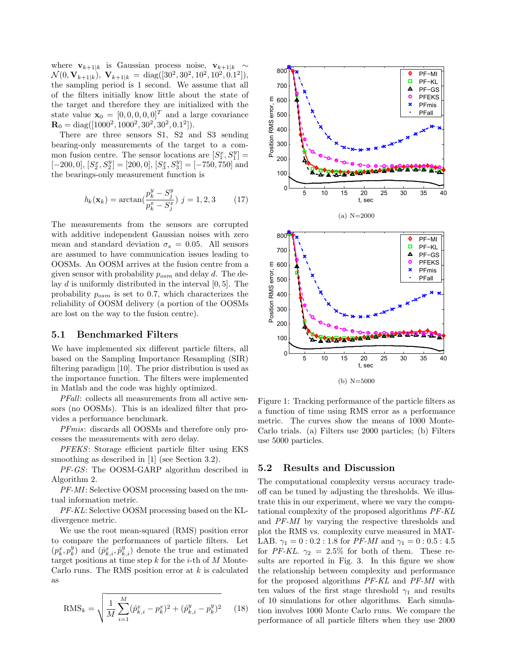where  $\mathbf{v}_{k+1|k}$  is Gaussian process noise,  $\mathbf{v}_{k+1|k} \sim$  $\mathcal{N}(0, \mathbf{V}_{k+1|k}), \mathbf{V}_{k+1|k} = \text{diag}([30^2, 30^2, 10^2, 10^2, 0.1^2]),$ the sampling period is 1 second. We assume that all of the filters initially know little about the state of the target and therefore they are initialized with the state value  $\mathbf{x}_0 = [0, 0, 0, 0, 0]^T$  and a large covariance  $\mathbf{R}_0 = \text{diag}([1000^2, 1000^2, 30^2, 30^2, 0.1^2]).$ 

There are three sensors S1, S2 and S3 sending bearing-only measurements of the target to a common fusion centre. The sensor locations are  $[S_1^x, S_1^y] =$  $[-200, 0], [S_2^x, S_2^y] = [200, 0], [S_3^x, S_3^y] = [-750, 750]$  and the bearings-only measurement function is

$$
h_k(\mathbf{x}_k) = \arctan(\frac{p_k^y - S_j^y}{p_k^x - S_j^x}) \ j = 1, 2, 3 \tag{17}
$$

The measurements from the sensors are corrupted with additive independent Gaussian noises with zero mean and standard deviation  $\sigma_s = 0.05$ . All sensors are assumed to have communication issues leading to OOSMs. An OOSM arrives at the fusion centre from a given sensor with probability *posm* and delay *d*. The delay *d* is uniformly distributed in the interval [0*,* 5]. The probability *posm* is set to 0*.*7, which characterizes the reliability of OOSM delivery (a portion of the OOSMs are lost on the way to the fusion centre).

#### **5.1 Benchmarked Filters**

We have implemented six different particle filters, all based on the Sampling Importance Resampling (SIR) filtering paradigm [10]. The prior distribution is used as the importance function. The filters were implemented in Matlab and the code was highly optimized.

*PFall*: collects all measurements from all active sensors (no OOSMs). This is an idealized filter that provides a performance benchmark.

*PFmis*: discards all OOSMs and therefore only processes the measurements with zero delay.

*PFEKS*: Storage efficient particle filter using EKS smoothing as described in [1] (see Section 3.2).

*PF-GS*: The OOSM-GARP algorithm described in Algorithm 2.

*PF-MI*: Selective OOSM processing based on the mutual information metric.

*PF-KL*: Selective OOSM processing based on the KLdivergence metric.

We use the root mean-squared (RMS) position error to compare the performances of particle filters. Let  $(p_k^x, p_k^y)$  and  $(\hat{p}_{k,i}^x, \hat{p}_{k,i}^y)$  denote the true and estimated target positions at time step *k* for the *i*-th of *M* Monte-Carlo runs. The RMS position error at *k* is calculated as

$$
\text{RMS}_k = \sqrt{\frac{1}{M} \sum_{i=1}^{M} (\hat{p}_{k,i}^x - p_k^x)^2 + (\hat{p}_{k,i}^y - p_k^y)^2}
$$
 (18)



(b) N=5000

Figure 1: Tracking performance of the particle filters as a function of time using RMS error as a performance metric. The curves show the means of 1000 Monte-Carlo trials. (a) Filters use 2000 particles; (b) Filters use 5000 particles.

#### **5.2 Results and Discussion**

The computational complexity versus accuracy tradeoff can be tuned by adjusting the thresholds. We illustrate this in our experiment, where we vary the computational complexity of the proposed algorithms *PF-KL* and *PF-MI* by varying the respective thresholds and plot the RMS vs. complexity curve measured in MAT-LAB.  $\gamma_1 = 0:0.2:1.8$  for *PF-MI* and  $\gamma_1 = 0:0.5:4.5$ for *PF-KL*.  $\gamma_2 = 2.5\%$  for both of them. These results are reported in Fig. 3. In this figure we show the relationship between complexity and performance for the proposed algorithms *PF-KL* and *PF-MI* with ten values of the first stage threshold  $\gamma_1$  and results of 10 simulations for other algorithms. Each simulation involves 1000 Monte Carlo runs. We compare the performance of all particle filters when they use 2000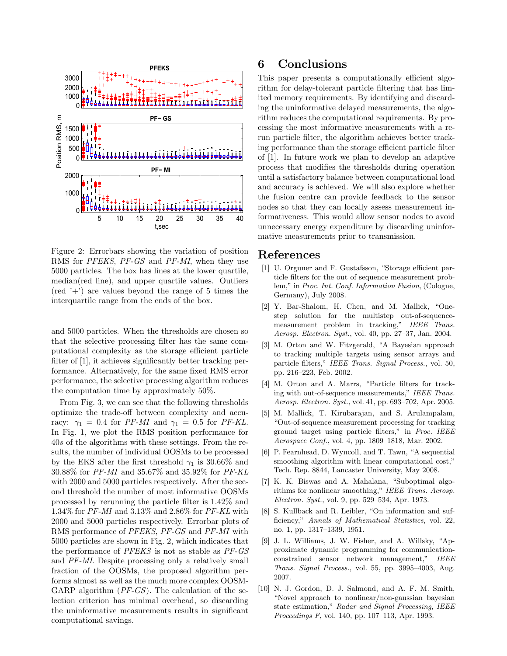

Figure 2: Errorbars showing the variation of position RMS for *PFEKS*, *PF-GS* and *PF-MI*, when they use 5000 particles. The box has lines at the lower quartile, median(red line), and upper quartile values. Outliers  $(\text{red } ' +')$  are values beyond the range of 5 times the interquartile range from the ends of the box.

and 5000 particles. When the thresholds are chosen so that the selective processing filter has the same computational complexity as the storage efficient particle filter of [1], it achieves significantly better tracking performance. Alternatively, for the same fixed RMS error performance, the selective processing algorithm reduces the computation time by approximately 50%.

From Fig. 3, we can see that the following thresholds optimize the trade-off between complexity and accuracy:  $\gamma_1 = 0.4$  for *PF-MI* and  $\gamma_1 = 0.5$  for *PF-KL*. In Fig. 1, we plot the RMS position performance for 40*s* of the algorithms with these settings. From the results, the number of individual OOSMs to be processed by the EKS after the first threshold  $\gamma_1$  is 30.66% and 30*.*88% for *PF-MI* and 35*.*67% and 35*.*92% for *PF-KL* with 2000 and 5000 particles respectively. After the second threshold the number of most informative OOSMs processed by rerunning the particle filter is 1*.*42% and 1*.*34% for *PF-MI* and 3*.*13% and 2*.*86% for *PF-KL* with 2000 and 5000 particles respectively. Errorbar plots of RMS performance of *PFEKS*, *PF-GS* and *PF-MI* with 5000 particles are shown in Fig. 2, which indicates that the performance of *PFEKS* is not as stable as *PF-GS* and *PF-MI*. Despite processing only a relatively small fraction of the OOSMs, the proposed algorithm performs almost as well as the much more complex OOSM-GARP algorithm (*PF-GS*). The calculation of the selection criterion has minimal overhead, so discarding the uninformative measurements results in significant computational savings.

# **6 Conclusions**

This paper presents a computationally efficient algorithm for delay-tolerant particle filtering that has limited memory requirements. By identifying and discarding the uninformative delayed measurements, the algorithm reduces the computational requirements. By processing the most informative measurements with a rerun particle filter, the algorithm achieves better tracking performance than the storage efficient particle filter of [1]. In future work we plan to develop an adaptive process that modifies the thresholds during operation until a satisfactory balance between computational load and accuracy is achieved. We will also explore whether the fusion centre can provide feedback to the sensor nodes so that they can locally assess measurement informativeness. This would allow sensor nodes to avoid unnecessary energy expenditure by discarding uninformative measurements prior to transmission.

# **References**

- [1] U. Orguner and F. Gustafsson, "Storage efficient particle filters for the out of sequence measurement problem," in *Proc. Int. Conf. Information Fusion*, (Cologne, Germany), July 2008.
- [2] Y. Bar-Shalom, H. Chen, and M. Mallick, "Onestep solution for the multistep out-of-sequencemeasurement problem in tracking," *IEEE Trans. Aerosp. Electron. Syst.*, vol. 40, pp. 27–37, Jan. 2004.
- [3] M. Orton and W. Fitzgerald, "A Bayesian approach to tracking multiple targets using sensor arrays and particle filters," *IEEE Trans. Signal Process.*, vol. 50, pp. 216–223, Feb. 2002.
- [4] M. Orton and A. Marrs, "Particle filters for tracking with out-of-sequence measurements," *IEEE Trans. Aerosp. Electron. Syst.*, vol. 41, pp. 693–702, Apr. 2005.
- [5] M. Mallick, T. Kirubarajan, and S. Arulampalam, "Out-of-sequence measurement processing for tracking ground target using particle filters," in *Proc. IEEE Aerospace Conf.*, vol. 4, pp. 1809–1818, Mar. 2002.
- [6] P. Fearnhead, D. Wyncoll, and T. Tawn, "A sequential smoothing algorithm with linear computational cost," Tech. Rep. 8844, Lancaster University, May 2008.
- [7] K. K. Biswas and A. Mahalana, "Suboptimal algorithms for nonlinear smoothing," *IEEE Trans. Aerosp. Electron. Syst.*, vol. 9, pp. 529–534, Apr. 1973.
- [8] S. Kullback and R. Leibler, "On information and sufficiency," *Annals of Mathematical Statistics*, vol. 22, no. 1, pp. 1317–1339, 1951.
- [9] J. L. Williams, J. W. Fisher, and A. Willsky, "Approximate dynamic programming for communicationconstrained sensor network management," *IEEE Trans. Signal Process.*, vol. 55, pp. 3995–4003, Aug. 2007.
- [10] N. J. Gordon, D. J. Salmond, and A. F. M. Smith, "Novel approach to nonlinear/non-gaussian bayesian state estimation," *Radar and Signal Processing, IEEE Proceedings F*, vol. 140, pp. 107–113, Apr. 1993.